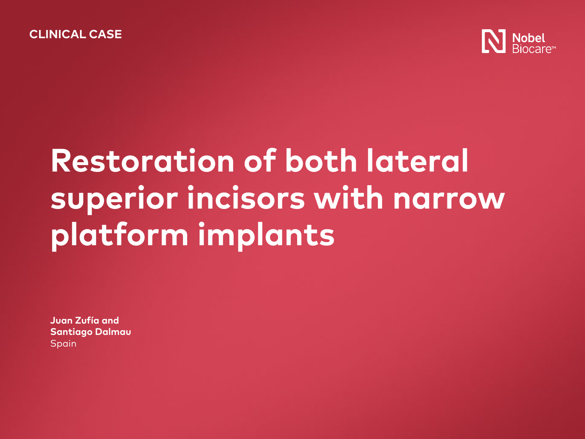

# **Restoration of both lateral superior incisors with narrow platform implants**

**Juan Zufía and Santiago Dalmau** Spain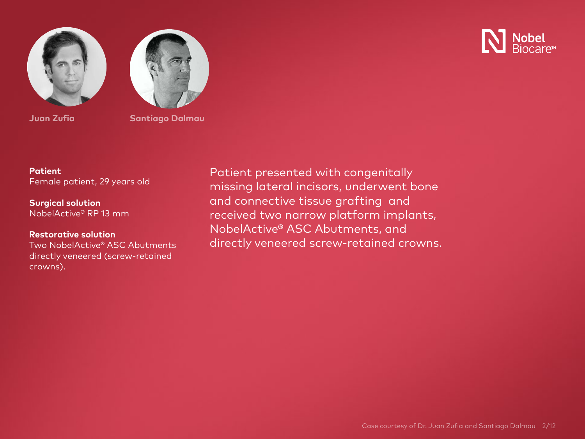



**Nobel**<br>Riocare

**Juan Zufia Santiago Dalmau**

**Patient** Female patient, 29 years old

**Surgical solution** NobelActive® RP 13 mm

### **Restorative solution**

Two NobelActive® ASC Abutments directly veneered (screw-retained crowns).

Patient presented with congenitally missing lateral incisors, underwent bone and connective tissue grafting and received two narrow platform implants, NobelActive® ASC Abutments, and directly veneered screw-retained crowns.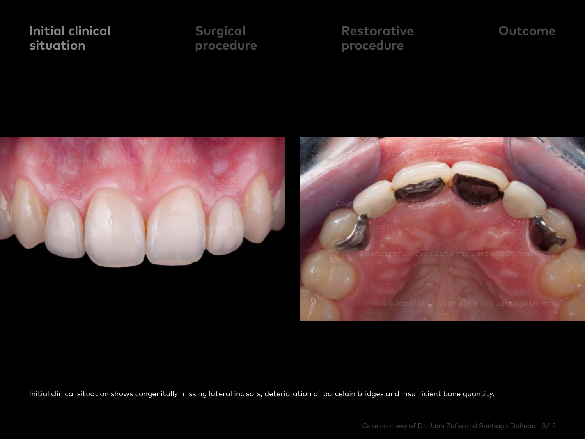**Surgical [procedure](#page-3-0)**  **[Restorative](#page-5-0) procedure** 

### **[Outcome](#page-8-0)**

<span id="page-2-0"></span>



Initial clinical situation shows congenitally missing lateral incisors, deterioration of porcelain bridges and insufficient bone quantity.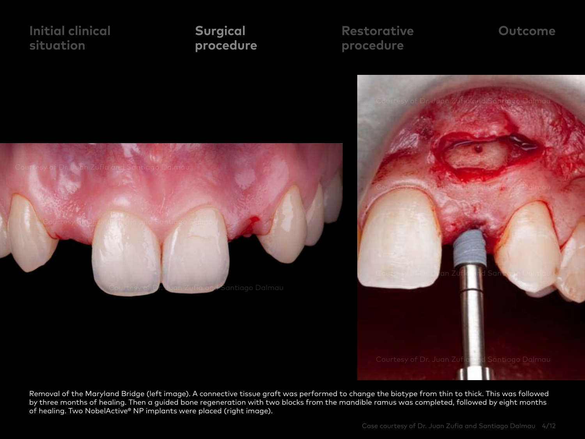### **Surgical procedure**

**[Restorative](#page-5-0) procedure** 

### **[Outcome](#page-8-0)**

<span id="page-3-0"></span>

Removal of the Maryland Bridge (left image). A connective tissue graft was performed to change the biotype from thin to thick. This was followed by three months of healing. Then a guided bone regeneration with two blocks from the mandible ramus was completed, followed by eight months of healing. Two NobelActive® NP implants were placed (right image).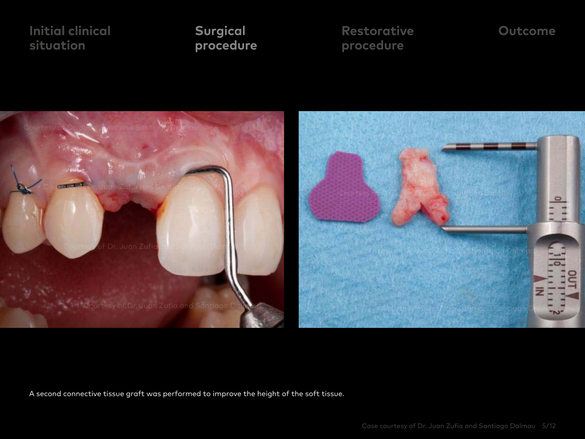**procedure** 

**[Restorative](#page-5-0) Surgical [Outcome](#page-8-0) procedure** 



A second connective tissue graft was performed to improve the height of the soft tissue.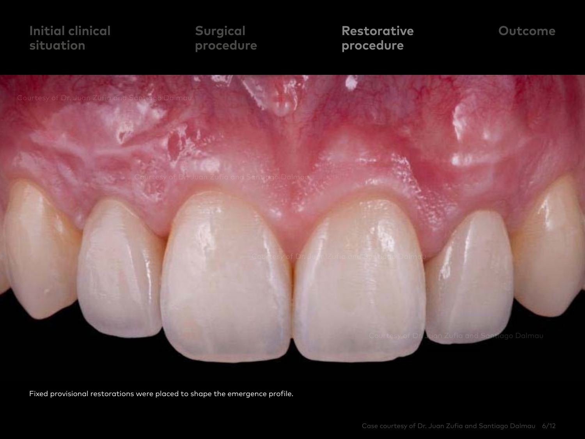**Surgical [procedure](#page-3-0)**  **Restorative procedure** 

### **[Outcome](#page-8-0)**

<span id="page-5-0"></span>

Fixed provisional restorations were placed to shape the emergence profile.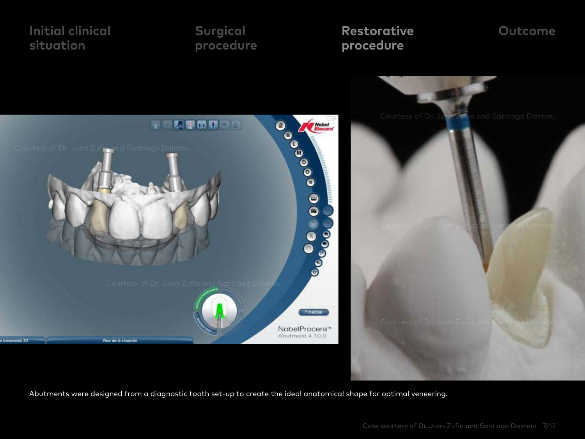

Abutments were designed from a diagnostic tooth set-up to create the ideal anatomical shape for optimal veneering.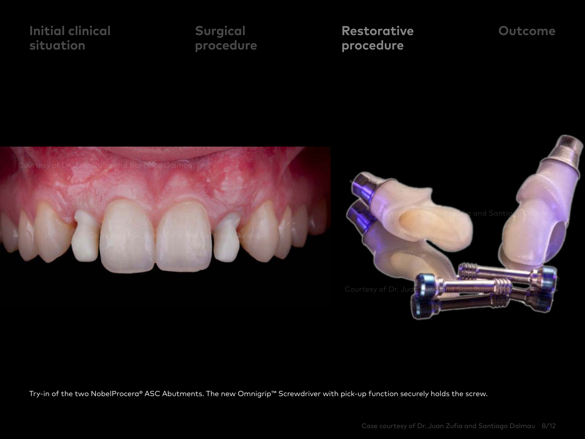**Surgical [procedure](#page-3-0)**  **Restorative [Outcome](#page-8-0) procedure** 





Try-in of the two NobelProcera® ASC Abutments. The new Omnigrip™ Screwdriver with pick-up function securely holds the screw.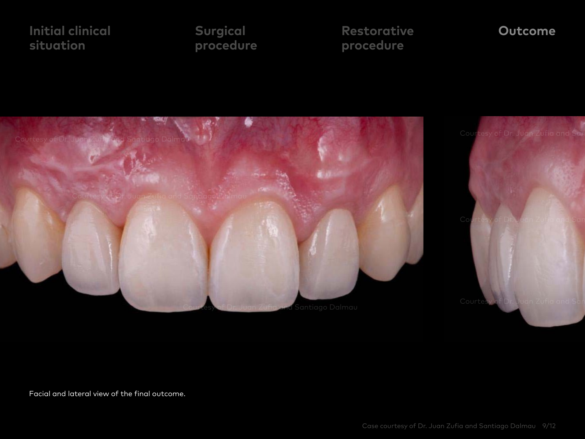**Surgical [procedure](#page-3-0)**  **[Restorative](#page-5-0) procedure** 

### **Outcome**

<span id="page-8-0"></span>

Facial and lateral view of the final outcome.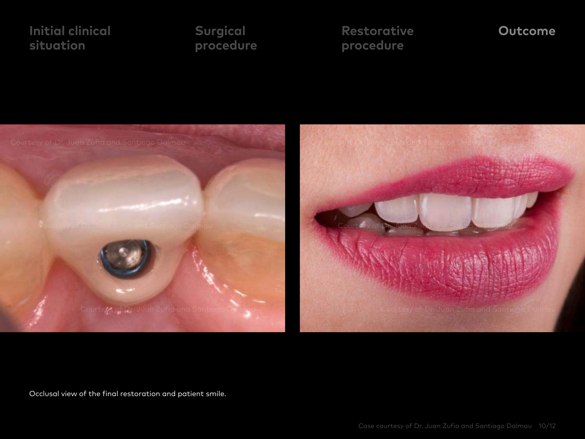**Surgical [procedure](#page-3-0)**  **[Restorative](#page-5-0) procedure** 

### **Outcome**



Occlusal view of the final restoration and patient smile.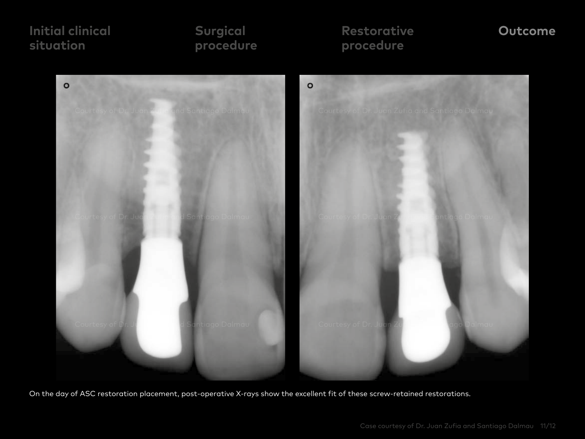### **Surgical [procedure](#page-3-0)**

## **[Restorative](#page-5-0) procedure**

### **Outcome**



On the day of ASC restoration placement, post-operative X-rays show the excellent fit of these screw-retained restorations.